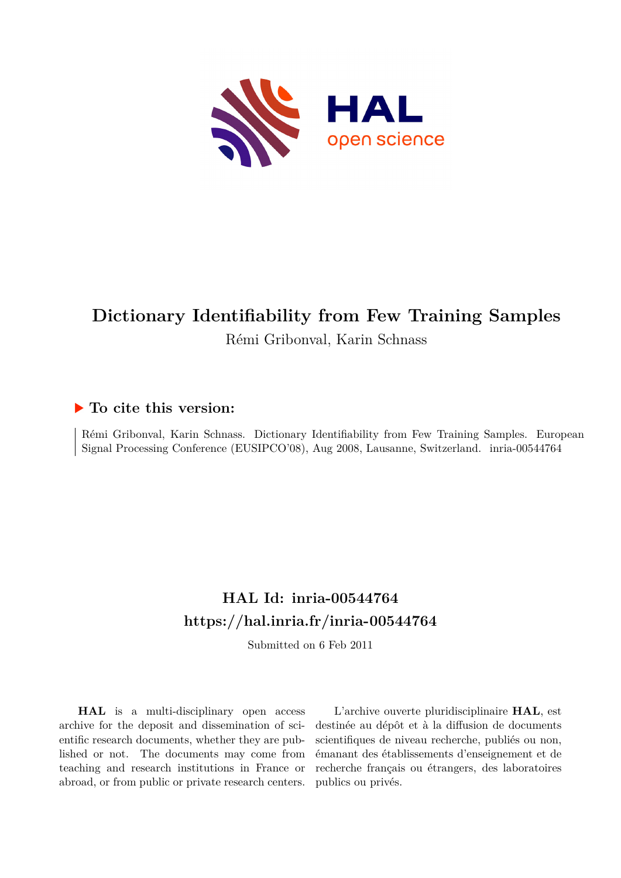

# **Dictionary Identifiability from Few Training Samples** Rémi Gribonval, Karin Schnass

### **To cite this version:**

Rémi Gribonval, Karin Schnass. Dictionary Identifiability from Few Training Samples. European Signal Processing Conference (EUSIPCO'08), Aug 2008, Lausanne, Switzerland. inria-00544764

## **HAL Id: inria-00544764 <https://hal.inria.fr/inria-00544764>**

Submitted on 6 Feb 2011

**HAL** is a multi-disciplinary open access archive for the deposit and dissemination of scientific research documents, whether they are published or not. The documents may come from teaching and research institutions in France or abroad, or from public or private research centers.

L'archive ouverte pluridisciplinaire **HAL**, est destinée au dépôt et à la diffusion de documents scientifiques de niveau recherche, publiés ou non, émanant des établissements d'enseignement et de recherche français ou étrangers, des laboratoires publics ou privés.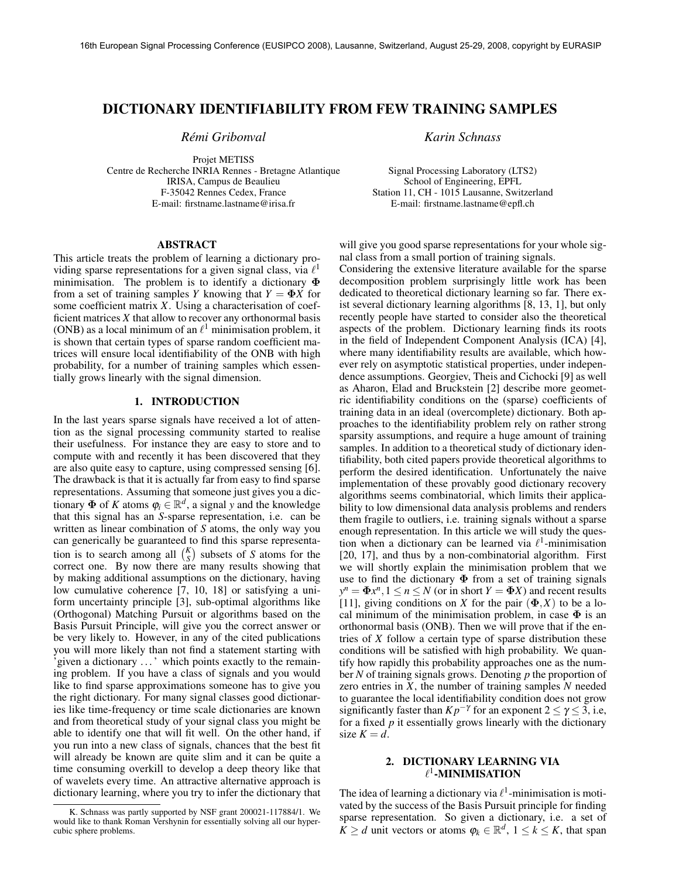#### DICTIONARY IDENTIFIABILITY FROM FEW TRAINING SAMPLES

*Remi Gribonval ´*

Projet METISS Centre de Recherche INRIA Rennes - Bretagne Atlantique IRISA, Campus de Beaulieu F-35042 Rennes Cedex, France E-mail: firstname.lastname@irisa.fr

ABSTRACT

This article treats the problem of learning a dictionary providing sparse representations for a given signal class, via  $\ell^1$ minimisation. The problem is to identify a dictionary  $\Phi$ from a set of training samples *Y* knowing that  $Y = \Phi X$  for some coefficient matrix *X*. Using a characterisation of coefficient matrices *X* that allow to recover any orthonormal basis (ONB) as a local minimum of an  $\ell^1$  minimisation problem, it is shown that certain types of sparse random coefficient matrices will ensure local identifiability of the ONB with high probability, for a number of training samples which essentially grows linearly with the signal dimension.

#### 1. INTRODUCTION

In the last years sparse signals have received a lot of attention as the signal processing community started to realise their usefulness. For instance they are easy to store and to compute with and recently it has been discovered that they are also quite easy to capture, using compressed sensing [6]. The drawback is that it is actually far from easy to find sparse representations. Assuming that someone just gives you a dictionary  $\Phi$  of *K* atoms  $\varphi_i \in \mathbb{R}^d$ , a signal *y* and the knowledge that this signal has an *S*-sparse representation, i.e. can be written as linear combination of *S* atoms, the only way you can generically be guaranteed to find this sparse representation is to search among all  $\binom{K}{S}$  subsets of *S* atoms for the correct one. By now there are many results showing that by making additional assumptions on the dictionary, having low cumulative coherence [7, 10, 18] or satisfying a uniform uncertainty principle [3], sub-optimal algorithms like (Orthogonal) Matching Pursuit or algorithms based on the Basis Pursuit Principle, will give you the correct answer or be very likely to. However, in any of the cited publications you will more likely than not find a statement starting with 'given a dictionary . . . ' which points exactly to the remaining problem. If you have a class of signals and you would like to find sparse approximations someone has to give you the right dictionary. For many signal classes good dictionaries like time-frequency or time scale dictionaries are known and from theoretical study of your signal class you might be able to identify one that will fit well. On the other hand, if you run into a new class of signals, chances that the best fit will already be known are quite slim and it can be quite a time consuming overkill to develop a deep theory like that of wavelets every time. An attractive alternative approach is dictionary learning, where you try to infer the dictionary that *Karin Schnass*

Signal Processing Laboratory (LTS2) School of Engineering, EPFL Station 11, CH - 1015 Lausanne, Switzerland E-mail: firstname.lastname@epfl.ch

will give you good sparse representations for your whole signal class from a small portion of training signals.

Considering the extensive literature available for the sparse decomposition problem surprisingly little work has been dedicated to theoretical dictionary learning so far. There exist several dictionary learning algorithms [8, 13, 1], but only recently people have started to consider also the theoretical aspects of the problem. Dictionary learning finds its roots in the field of Independent Component Analysis (ICA) [4], where many identifiability results are available, which however rely on asymptotic statistical properties, under independence assumptions. Georgiev, Theis and Cichocki [9] as well as Aharon, Elad and Bruckstein [2] describe more geometric identifiability conditions on the (sparse) coefficients of training data in an ideal (overcomplete) dictionary. Both approaches to the identifiability problem rely on rather strong sparsity assumptions, and require a huge amount of training samples. In addition to a theoretical study of dictionary identifiability, both cited papers provide theoretical algorithms to perform the desired identification. Unfortunately the naive implementation of these provably good dictionary recovery algorithms seems combinatorial, which limits their applicability to low dimensional data analysis problems and renders them fragile to outliers, i.e. training signals without a sparse enough representation. In this article we will study the question when a dictionary can be learned via  $\ell^1$ -minimisation [20, 17], and thus by a non-combinatorial algorithm. First we will shortly explain the minimisation problem that we use to find the dictionary  $\Phi$  from a set of training signals  $y^n = \Phi x^n, 1 \le n \le N$  (or in short  $Y = \Phi X$ ) and recent results [11], giving conditions on *X* for the pair  $(\Phi, X)$  to be a local minimum of the minimisation problem, in case  $\Phi$  is an orthonormal basis (ONB). Then we will prove that if the entries of *X* follow a certain type of sparse distribution these conditions will be satisfied with high probability. We quantify how rapidly this probability approaches one as the number *N* of training signals grows. Denoting *p* the proportion of zero entries in *X*, the number of training samples *N* needed to guarantee the local identifiability condition does not grow significantly faster than  $Kp^{-\gamma}$  for an exponent  $2 \leq \gamma \leq 3$ , i.e, for a fixed *p* it essentially grows linearly with the dictionary size  $K = d$ .

#### 2. DICTIONARY LEARNING VIA  $\ell^1$ -MINIMISATION

The idea of learning a dictionary via  $\ell^1$ -minimisation is motivated by the success of the Basis Pursuit principle for finding sparse representation. So given a dictionary, i.e. a set of  $K > d$  unit vectors or atoms  $\varphi_k \in \mathbb{R}^d$ ,  $1 \leq k \leq K$ , that span

K. Schnass was partly supported by NSF grant 200021-117884/1. We would like to thank Roman Vershynin for essentially solving all our hypercubic sphere problems.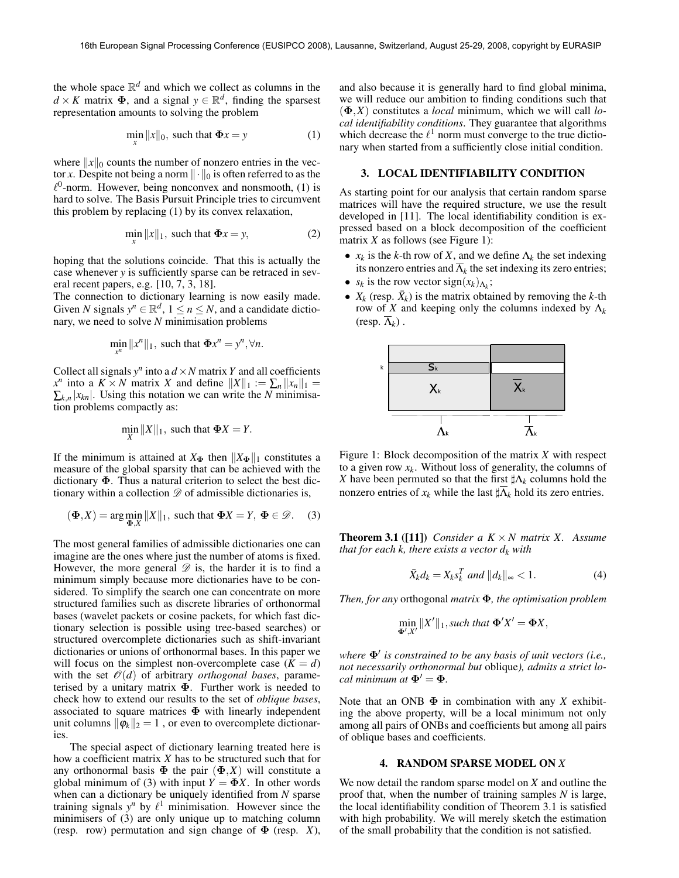the whole space  $\mathbb{R}^d$  and which we collect as columns in the  $d \times K$  matrix  $\Phi$ , and a signal  $y \in \mathbb{R}^d$ , finding the sparsest representation amounts to solving the problem

$$
\min_{x} ||x||_0, \text{ such that } \Phi x = y \tag{1}
$$

where  $\|x\|_0$  counts the number of nonzero entries in the vector *x*. Despite not being a norm  $\|\cdot\|_0$  is often referred to as the  $\ell^0$ -norm. However, being nonconvex and nonsmooth, (1) is hard to solve. The Basis Pursuit Principle tries to circumvent this problem by replacing (1) by its convex relaxation,

$$
\min_{x} ||x||_1, \text{ such that } \Phi x = y,
$$
 (2)

hoping that the solutions coincide. That this is actually the case whenever *y* is sufficiently sparse can be retraced in several recent papers, e.g. [10, 7, 3, 18].

The connection to dictionary learning is now easily made. Given *N* signals  $y^n \in \mathbb{R}^d$ ,  $1 \le n \le N$ , and a candidate dictionary, we need to solve *N* minimisation problems

$$
\min_{x^n} ||x^n||_1, \text{ such that } \Phi x^n = y^n, \forall n.
$$

Collect all signals  $y^n$  into a  $d \times N$  matrix *Y* and all coefficients *x<sup>n</sup>* into a *K* × *N* matrix *X* and define  $||X||_1 := \sum_n ||x_n||_1 =$  $\sum_{k,n} |x_{kn}|$ . Using this notation we can write the *N* minimisation problems compactly as:

$$
\min_{X} ||X||_1
$$
, such that  $\Phi X = Y$ .

If the minimum is attained at  $X_{\Phi}$  then  $||X_{\Phi}||_1$  constitutes a measure of the global sparsity that can be achieved with the dictionary Φ. Thus a natural criterion to select the best dictionary within a collection *D* of admissible dictionaries is,

$$
(\mathbf{\Phi}, X) = \arg\min_{\mathbf{\Phi}, X} ||X||_1, \text{ such that } \mathbf{\Phi}X = Y, \mathbf{\Phi} \in \mathcal{D}. \tag{3}
$$

The most general families of admissible dictionaries one can imagine are the ones where just the number of atoms is fixed. However, the more general  $\mathscr D$  is, the harder it is to find a minimum simply because more dictionaries have to be considered. To simplify the search one can concentrate on more structured families such as discrete libraries of orthonormal bases (wavelet packets or cosine packets, for which fast dictionary selection is possible using tree-based searches) or structured overcomplete dictionaries such as shift-invariant dictionaries or unions of orthonormal bases. In this paper we will focus on the simplest non-overcomplete case  $(K = d)$ with the set  $\mathcal{O}(d)$  of arbitrary *orthogonal bases*, parameterised by a unitary matrix  $\Phi$ . Further work is needed to check how to extend our results to the set of *oblique bases*, associated to square matrices  $\Phi$  with linearly independent unit columns  $\|\phi_k\|_2 = 1$ , or even to overcomplete dictionaries.

The special aspect of dictionary learning treated here is how a coefficient matrix *X* has to be structured such that for any orthonormal basis  $\Phi$  the pair  $(\Phi, X)$  will constitute a global minimum of (3) with input  $\overline{Y} = \overline{\Phi}X$ . In other words when can a dictionary be uniquely identified from *N* sparse training signals  $y^n$  by  $\ell^1$  minimisation. However since the minimisers of (3) are only unique up to matching column (resp. row) permutation and sign change of Φ (resp. *X*),

and also because it is generally hard to find global minima, we will reduce our ambition to finding conditions such that (Φ,*X*) constitutes a *local* minimum, which we will call *local identifiability conditions*. They guarantee that algorithms which decrease the  $\ell^1$  norm must converge to the true dictionary when started from a sufficiently close initial condition.

#### 3. LOCAL IDENTIFIABILITY CONDITION

As starting point for our analysis that certain random sparse matrices will have the required structure, we use the result developed in [11]. The local identifiability condition is expressed based on a block decomposition of the coefficient matrix *X* as follows (see Figure 1):

- $x_k$  is the *k*-th row of *X*, and we define  $\Lambda_k$  the set indexing its nonzero entries and  $\overline{\Lambda}_k$  the set indexing its zero entries;
- $s_k$  is the row vector sign $(x_k)_{\Lambda_k}$ ;
- $X_k$  (resp.  $\bar{X}_k$ ) is the matrix obtained by removing the *k*-th row of *X* and keeping only the columns indexed by  $\Lambda_k$  $(\text{resp. } \overline{\Lambda}_k)$ .



Figure 1: Block decomposition of the matrix *X* with respect to a given row  $x_k$ . Without loss of generality, the columns of *X* have been permuted so that the first  $\sharp \Lambda_k$  columns hold the nonzero entries of  $x_k$  while the last  $\sharp \overline{\Lambda}_k$  hold its zero entries.

**Theorem 3.1** ([11]) *Consider a*  $K \times N$  *matrix X. Assume that for each k, there exists a vector*  $d_k$  *with* 

$$
\bar{X}_k d_k = X_k s_k^T \text{ and } ||d_k||_{\infty} < 1. \tag{4}
$$

*Then, for any* orthogonal *matrix* Φ*, the optimisation problem*

$$
\min_{\mathbf{\Phi}', X'} \|X'\|_1, such that \mathbf{\Phi}'X' = \mathbf{\Phi}X,
$$

*where*  $\Phi'$  *is constrained to be any basis of unit vectors (i.e., not necessarily orthonormal but* oblique*), admits a strict local minimum at*  $\Phi' = \Phi$ .

Note that an ONB  $\Phi$  in combination with any *X* exhibiting the above property, will be a local minimum not only among all pairs of ONBs and coefficients but among all pairs of oblique bases and coefficients.

#### 4. RANDOM SPARSE MODEL ON *X*

We now detail the random sparse model on *X* and outline the proof that, when the number of training samples *N* is large, the local identifiability condition of Theorem 3.1 is satisfied with high probability. We will merely sketch the estimation of the small probability that the condition is not satisfied.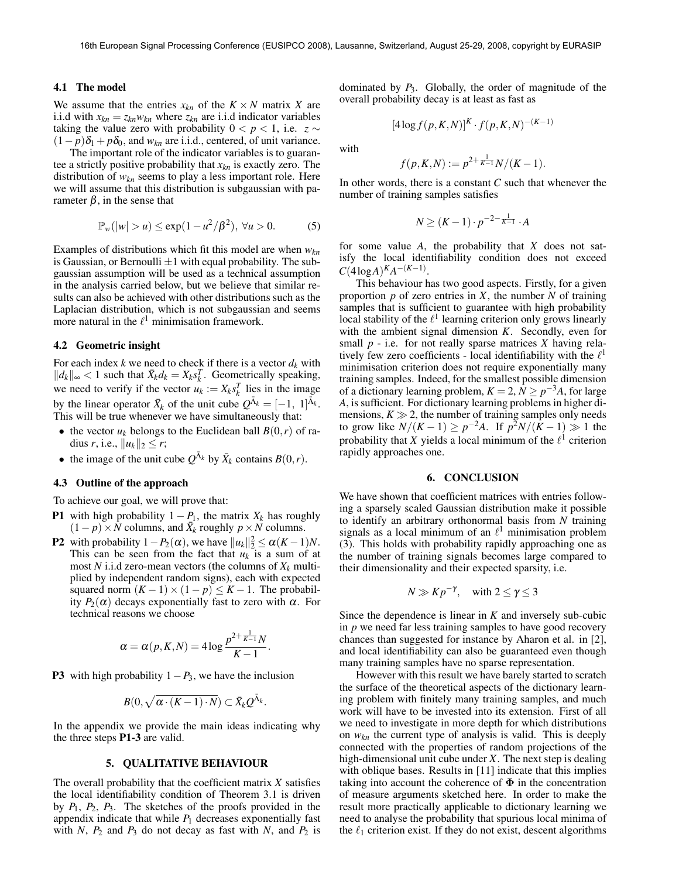#### 4.1 The model

We assume that the entries  $x_{kn}$  of the  $K \times N$  matrix X are i.i.d with  $x_{kn} = z_{kn} w_{kn}$  where  $z_{kn}$  are i.i.d indicator variables taking the value zero with probability  $0 < p < 1$ , i.e.  $z \sim$  $(1-p)\delta_1 + p\delta_0$ , and  $w_{kn}$  are i.i.d., centered, of unit variance.

The important role of the indicator variables is to guarantee a strictly positive probability that *xkn* is exactly zero. The distribution of *wkn* seems to play a less important role. Here we will assume that this distribution is subgaussian with parameter  $\beta$ , in the sense that

$$
\mathbb{P}_w(|w|>u) \le \exp(1-u^2/\beta^2), \ \forall u>0. \tag{5}
$$

Examples of distributions which fit this model are when *wkn* is Gaussian, or Bernoulli  $\pm 1$  with equal probability. The subgaussian assumption will be used as a technical assumption in the analysis carried below, but we believe that similar results can also be achieved with other distributions such as the Laplacian distribution, which is not subgaussian and seems more natural in the  $\ell^1$  minimisation framework.

#### 4.2 Geometric insight

For each index  $k$  we need to check if there is a vector  $d_k$  with  $||d_k||_{\infty}$  < 1 such that  $\bar{X}_k d_k = X_k s_k^T$ . Geometrically speaking, we need to verify if the vector  $u_k := X_k s_k^T$  lies in the image by the linear operator  $\bar{X}_k$  of the unit cube  $Q^{\bar{\Lambda}_k} = [-1, 1]^{\bar{\Lambda}_k}$ . This will be true whenever we have simultaneously that:

- the vector  $u_k$  belongs to the Euclidean ball  $B(0,r)$  of radius *r*, i.e.,  $||u_k||_2 \le r$ ;
- the image of the unit cube  $Q^{\bar{\Lambda}_k}$  by  $\bar{X}_k$  contains  $B(0,r)$ .

#### 4.3 Outline of the approach

To achieve our goal, we will prove that:

- **P1** with high probability  $1 P_1$ , the matrix  $X_k$  has roughly  $(1-p) \times N$  columns, and  $\bar{X}_k$  roughly  $p \times N$  columns.
- P2 with probability  $1 P_2(\alpha)$ , we have  $||u_k||_2^2 \le \alpha (K 1)N$ . This can be seen from the fact that  $u_k$  is a sum of at most  $N$  i.i.d zero-mean vectors (the columns of  $X_k$  multiplied by independent random signs), each with expected squared norm  $(K-1) \times (1-p) \leq K-1$ . The probability *P*<sub>2</sub>( $\alpha$ ) decays exponentially fast to zero with  $\alpha$ . For technical reasons we choose

$$
\alpha = \alpha(p, K, N) = 4\log\frac{p^{2+\frac{1}{K-1}}N}{K-1}.
$$

**P3** with high probability  $1-P_3$ , we have the inclusion

$$
B(0,\sqrt{\alpha\cdot (K-1)\cdot N})\subset \bar{X}_kQ^{\bar{\Lambda}_k}.
$$

In the appendix we provide the main ideas indicating why the three steps P1-3 are valid.

#### 5. QUALITATIVE BEHAVIOUR

The overall probability that the coefficient matrix *X* satisfies the local identifiability condition of Theorem 3.1 is driven by  $P_1$ ,  $P_2$ ,  $P_3$ . The sketches of the proofs provided in the appendix indicate that while  $P_1$  decreases exponentially fast with *N*,  $P_2$  and  $P_3$  do not decay as fast with *N*, and  $P_2$  is dominated by *P*3. Globally, the order of magnitude of the overall probability decay is at least as fast as

$$
\left[4\log f(p,K,N)\right]^K \cdot f(p,K,N)^{-(K-1)}
$$

with

$$
f(p, K, N) := p^{2 + \frac{1}{K-1}} N/(K-1).
$$

In other words, there is a constant *C* such that whenever the number of training samples satisfies

$$
N \ge (K-1) \cdot p^{-2-\frac{1}{K-1}} \cdot A
$$

for some value *A*, the probability that *X* does not satisfy the local identifiability condition does not exceed  $C(4\log A)^{K}A^{-(K-1)}$ .

This behaviour has two good aspects. Firstly, for a given proportion  $p$  of zero entries in  $X$ , the number  $N$  of training samples that is sufficient to guarantee with high probability local stability of the  $\ell^1$  learning criterion only grows linearly with the ambient signal dimension *K*. Secondly, even for small *p* - i.e. for not really sparse matrices *X* having relatively few zero coefficients - local identifiability with the  $\ell^1$ minimisation criterion does not require exponentially many training samples. Indeed, for the smallest possible dimension of a dictionary learning problem,  $K = 2$ ,  $\bar{N} \ge p^{-3}A$ , for large *A*, is sufficient. For dictionary learning problems in higher dimensions,  $K \gg 2$ , the number of training samples only needs to grow like  $N/(K-1)$  ≥  $p^{-2}A$ . If  $p^2N/(K-1)$  ≫ 1 the probability that *X* yields a local minimum of the  $l<sup>1</sup>$  criterion rapidly approaches one.

#### 6. CONCLUSION

We have shown that coefficient matrices with entries following a sparsely scaled Gaussian distribution make it possible to identify an arbitrary orthonormal basis from *N* training signals as a local minimum of an  $\ell^1$  minimisation problem (3). This holds with probability rapidly approaching one as the number of training signals becomes large compared to their dimensionality and their expected sparsity, i.e.

$$
N \gg Kp^{-\gamma}, \quad \text{with } 2 \le \gamma \le 3
$$

Since the dependence is linear in *K* and inversely sub-cubic in *p* we need far less training samples to have good recovery chances than suggested for instance by Aharon et al. in [2], and local identifiability can also be guaranteed even though many training samples have no sparse representation.

However with this result we have barely started to scratch the surface of the theoretical aspects of the dictionary learning problem with finitely many training samples, and much work will have to be invested into its extension. First of all we need to investigate in more depth for which distributions on *wkn* the current type of analysis is valid. This is deeply connected with the properties of random projections of the high-dimensional unit cube under *X*. The next step is dealing with oblique bases. Results in [11] indicate that this implies taking into account the coherence of  $\Phi$  in the concentration of measure arguments sketched here. In order to make the result more practically applicable to dictionary learning we need to analyse the probability that spurious local minima of the  $\ell_1$  criterion exist. If they do not exist, descent algorithms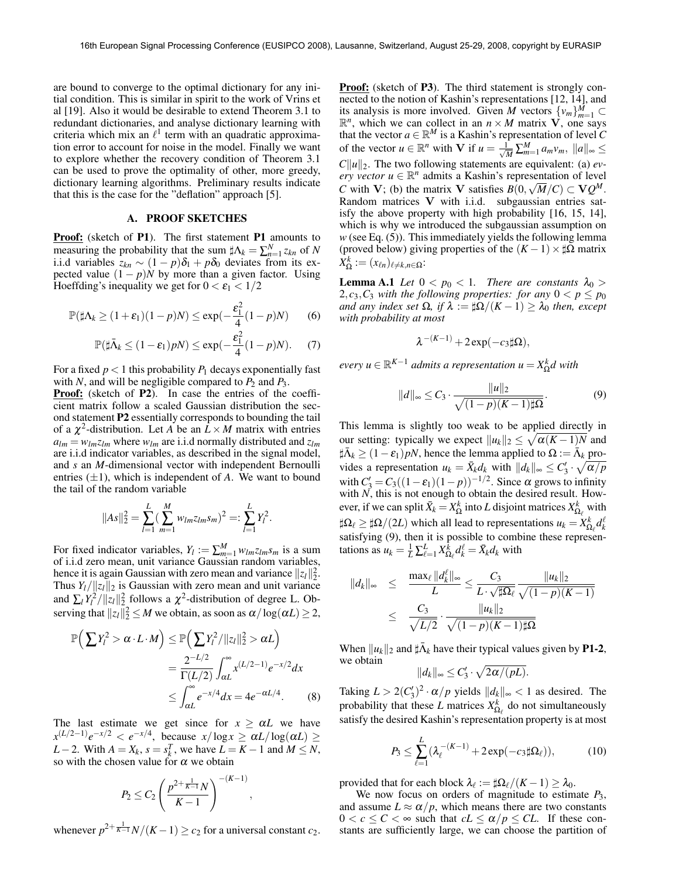are bound to converge to the optimal dictionary for any initial condition. This is similar in spirit to the work of Vrins et al [19]. Also it would be desirable to extend Theorem 3.1 to redundant dictionaries, and analyse dictionary learning with criteria which mix an  $\ell^1$  term with an quadratic approximation error to account for noise in the model. Finally we want to explore whether the recovery condition of Theorem 3.1 can be used to prove the optimality of other, more greedy, dictionary learning algorithms. Preliminary results indicate that this is the case for the "deflation" approach [5].

#### A. PROOF SKETCHES

**Proof:** (sketch of P1). The first statement P1 amounts to measuring the probability that the sum  $\sharp \Lambda_k = \sum_{n=1}^N z_{kn}$  of *N* i.i.d variables  $z_{kn}$  ∼ (1 − *p*) $\delta_1$  + *p* $\delta_0$  deviates from its expected value  $(1 - p)N$  by more than a given factor. Using Hoeffding's inequality we get for  $0 < \varepsilon_1 < 1/2$ 

$$
\mathbb{P}(\sharp \Lambda_k \ge (1+\varepsilon_1)(1-p)N) \le \exp(-\frac{\varepsilon_1^2}{4}(1-p)N) \qquad (6)
$$

$$
\mathbb{P}(\sharp \bar{\Lambda}_k \le (1 - \varepsilon_1) pN) \le \exp(-\frac{\varepsilon_1^2}{4}(1 - p)N). \tag{7}
$$

For a fixed  $p < 1$  this probability  $P_1$  decays exponentially fast with *N*, and will be negligible compared to  $P_2$  and  $P_3$ .

Proof: (sketch of P2). In case the entries of the coefficient matrix follow a scaled Gaussian distribution the second statement P2 essentially corresponds to bounding the tail of a  $\chi^2$ -distribution. Let *A* be an  $L \times M$  matrix with entries  $a_{lm} = w_{lm}z_{lm}$  where  $w_{lm}$  are i.i.d normally distributed and  $z_{lm}$ are i.i.d indicator variables, as described in the signal model, and *s* an *M*-dimensional vector with independent Bernoulli entries  $(\pm 1)$ , which is independent of *A*. We want to bound the tail of the random variable

$$
||As||_2^2 = \sum_{l=1}^L \left(\sum_{m=1}^M w_{lm} z_{lm} s_m\right)^2 =: \sum_{l=1}^L Y_l^2.
$$

For fixed indicator variables,  $Y_l := \sum_{m=1}^{M} w_{lm} z_{lm} s_m$  is a sum of i.i.d zero mean, unit variance Gaussian random variables, hence it is again Gaussian with zero mean and variance  $||z_l||_2^2$ . Thus  $Y_l / ||z_l||_2$  is Gaussian with zero mean and unit variance and  $\sum_l Y_l^2 / ||z_l||_2^2$  follows a  $\chi^2$ -distribution of degree L. Observing that  $||z_l||_2^2 \le M$  we obtain, as soon as  $\alpha / \log(\alpha L) \ge 2$ ,

$$
\mathbb{P}\left(\sum Y_l^2 > \alpha \cdot L \cdot M\right) \le \mathbb{P}\left(\sum Y_l^2 / \|z_l\|_2^2 > \alpha L\right)
$$

$$
= \frac{2^{-L/2}}{\Gamma(L/2)} \int_{\alpha L}^{\infty} x^{(L/2-1)} e^{-x/2} dx
$$

$$
\le \int_{\alpha L}^{\infty} e^{-x/4} dx = 4e^{-\alpha L/4}.
$$
 (8)

The last estimate we get since for  $x \ge \alpha L$  we have  $x^{(L/2-1)}e^{-x/2} < e^{-x/4}$ , because  $x/\log x \ge \alpha L/\log(\alpha L) \ge$ *L* − 2. With  $A = X_k$ ,  $s = s_k^T$ , we have  $L = K - 1$  and  $M \leq N$ , so with the chosen value for  $\alpha$  we obtain

$$
P_2 \le C_2 \left(\frac{p^{2+\frac{1}{K-1}}N}{K-1}\right)^{-(K-1)}
$$

,

whenever  $p^{2+\frac{1}{K-1}}N/(K-1) \ge c_2$  for a universal constant  $c_2$ .

**Proof:** (sketch of P3). The third statement is strongly connected to the notion of Kashin's representations  $[12, 14]$ , and its analysis is more involved. Given *M* vectors  $\{v_m\}_{m=1}^M \subset \mathbb{R}^n$ , which we can collect in an *n* × *M* matrix **V**, one says that the vector  $a \in \mathbb{R}^M$  is a Kashin's representation of level *C* of the vector  $u \in \mathbb{R}^n$  with **V** if  $u = \frac{1}{\sqrt{M}} \sum_{m=1}^M a_m v_m$ ,  $||a||_{\infty} \leq$  $C||u||_2$ . The two following statements are equivalent: (a) *every vector*  $u \in \mathbb{R}^n$  admits a Kashin's representation of level *C* with **V**; (b) the matrix **V** satisfies  $B(0, \sqrt{M}/C) \subset \mathbf{V}Q^M$ . Random matrices V with i.i.d. subgaussian entries satisfy the above property with high probability [16, 15, 14], which is why we introduced the subgaussian assumption on *w* (see Eq. (5)). This immediately yields the following lemma (proved below) giving properties of the  $(K-1) \times \sharp \Omega$  matrix  $X_{\Omega}^k := (x_{\ell n})_{\ell \neq k, n \in \Omega}$ :

**Lemma A.1** *Let*  $0 < p_0 < 1$ *. There are constants*  $\lambda_0 >$ 2,*c*<sub>3</sub>,*C*<sub>3</sub> *with the following properties: for any*  $0 < p \le p_0$ *and any index set*  $\Omega$ , *if*  $\lambda := \frac{\lambda}{\Omega}/(K - 1) \geq \lambda_0$  *then, except with probability at most*

$$
\lambda^{-(K-1)} + 2\exp(-c_3\sharp\Omega),
$$

 $e$ *very*  $u \in \mathbb{R}^{K-1}$  *admits a representation*  $u = X_{\Omega}^k d$  *with* 

$$
||d||_{\infty} \leq C_3 \cdot \frac{||u||_2}{\sqrt{(1-p)(K-1)\sharp\Omega}}.\tag{9}
$$

This lemma is slightly too weak to be applied directly in our setting: typically we expect  $||u_k||_2 \leq \sqrt{\alpha(K-1)N}$  and  $\sharp \bar{\Lambda}_k \geq (1 - \varepsilon_1) pN$ , hence the lemma applied to  $\Omega := \bar{\Lambda}_k$  provides a representation  $u_k = \bar{X}_k d_k$  with  $||d_k||_{\infty} \le C'_3 \cdot \sqrt{\alpha/p}$ with  $C'_3 = C_3((1 - \varepsilon_1)(1 - p))^{-1/2}$ . Since  $\alpha$  grows to infinity with  $N$ , this is not enough to obtain the desired result. However, if we can split  $\bar{X}_k = X_{\Omega}^k$  into *L* disjoint matrices  $X_{\Omega_k}^k$  with  $\sharp \Omega_{\ell} \geq \sharp \Omega / (2L)$  which all lead to representations  $u_k = X_{\Omega_{\ell}}^k d_k^{\ell}$ satisfying  $(9)$ , then it is possible to combine these representations as  $u_k = \frac{1}{L} \sum_{\ell=1}^L X_{\Omega_\ell}^k d_k^\ell = \bar{X}_k d_k$  with

$$
||d_k||_{\infty} \leq \frac{\max_{\ell} ||d_k^{\ell}||_{\infty}}{L} \leq \frac{C_3}{L \cdot \sqrt{\sharp \Omega_{\ell}}} \frac{||u_k||_2}{\sqrt{(1-p)(K-1)}}
$$
  

$$
\leq \frac{C_3}{\sqrt{L/2}} \cdot \frac{||u_k||_2}{\sqrt{(1-p)(K-1)\sharp \Omega}}
$$

When  $||u_k||_2$  and  $\sharp \bar{\Lambda}_k$  have their typical values given by **P1-2**, we obtain

$$
\|d_k\|_\infty \leq C_3'\cdot \sqrt{2\alpha/(pL)}.
$$

Taking  $L > 2(C_3')^2 \cdot \alpha/p$  yields  $||d_k||_{\infty} < 1$  as desired. The probability that these *L* matrices  $X_{\Omega_{\ell}}^k$  do not simultaneously satisfy the desired Kashin's representation property is at most

$$
P_3 \le \sum_{\ell=1}^L (\lambda_{\ell}^{-(K-1)} + 2\exp(-c_3 \sharp \Omega_{\ell})),\tag{10}
$$

provided that for each block  $\lambda_{\ell} := \frac{\mu \Omega_{\ell}}{(K-1)} \geq \lambda_0$ .

We now focus on orders of magnitude to estimate *P*3, and assume  $L \approx \alpha/p$ , which means there are two constants  $0 < c \leq C < \infty$  such that  $cL \leq \alpha/p \leq CL$ . If these constants are sufficiently large, we can choose the partition of